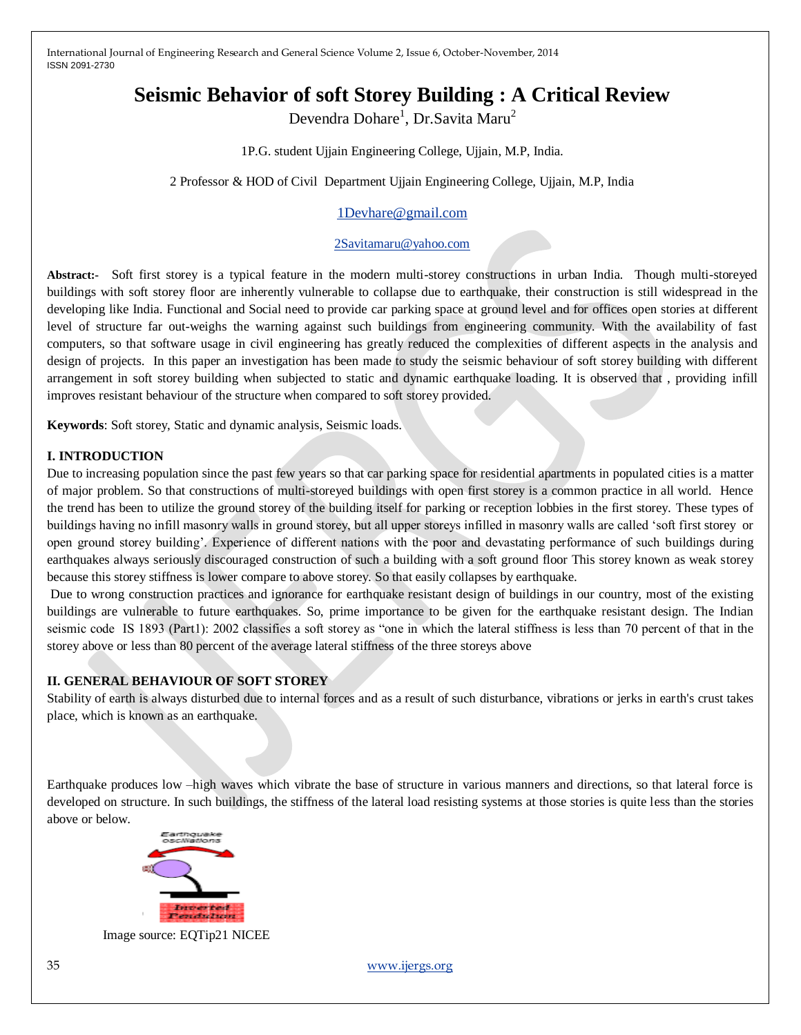# **Seismic Behavior of soft Storey Building : A Critical Review**

Devendra Dohare<sup>1</sup>, Dr.Savita Maru<sup>2</sup>

1P.G. student Ujjain Engineering College, Ujjain, M.P, India.

2 Professor & HOD of Civil Department Ujjain Engineering College, Ujjain, M.P, India

# [1Devhare@gmail.com](mailto:1Devhare@gmail.com)

### [2Savitamaru@yahoo.com](mailto:2Savitamaru@yahoo.com)

**Abstract:-** Soft first storey is a typical feature in the modern multi-storey constructions in urban India. Though multi-storeyed buildings with soft storey floor are inherently vulnerable to collapse due to earthquake, their construction is still widespread in the developing like India. Functional and Social need to provide car parking space at ground level and for offices open stories at different level of structure far out-weighs the warning against such buildings from engineering community. With the availability of fast computers, so that software usage in civil engineering has greatly reduced the complexities of different aspects in the analysis and design of projects. In this paper an investigation has been made to study the seismic behaviour of soft storey building with different arrangement in soft storey building when subjected to static and dynamic earthquake loading. It is observed that , providing infill improves resistant behaviour of the structure when compared to soft storey provided.

**Keywords**: Soft storey, Static and dynamic analysis, Seismic loads.

# **I. INTRODUCTION**

Due to increasing population since the past few years so that car parking space for residential apartments in populated cities is a matter of major problem. So that constructions of multi-storeyed buildings with open first storey is a common practice in all world. Hence the trend has been to utilize the ground storey of the building itself for parking or reception lobbies in the first storey. These types of buildings having no infill masonry walls in ground storey, but all upper storeys infilled in masonry walls are called "soft first storey or open ground storey building". Experience of different nations with the poor and devastating performance of such buildings during earthquakes always seriously discouraged construction of such a building with a soft ground floor This storey known as weak storey because this storey stiffness is lower compare to above storey. So that easily collapses by earthquake.

Due to wrong construction practices and ignorance for earthquake resistant design of buildings in our country, most of the existing buildings are vulnerable to future earthquakes. So, prime importance to be given for the earthquake resistant design. The Indian seismic code IS 1893 (Part1): 2002 classifies a soft storey as "one in which the lateral stiffness is less than 70 percent of that in the storey above or less than 80 percent of the average lateral stiffness of the three storeys above

#### **II. GENERAL BEHAVIOUR OF SOFT STOREY**

Stability of earth is always disturbed due to internal forces and as a result of such disturbance, vibrations or jerks in earth's crust takes place, which is known as an earthquake.

Earthquake produces low –high waves which vibrate the base of structure in various manners and directions, so that lateral force is developed on structure. In such buildings, the stiffness of the lateral load resisting systems at those stories is quite less than the stories above or below.



Image source: EQTip21 NICEE

35 [www.ijergs.org](http://www.ijergs.org/)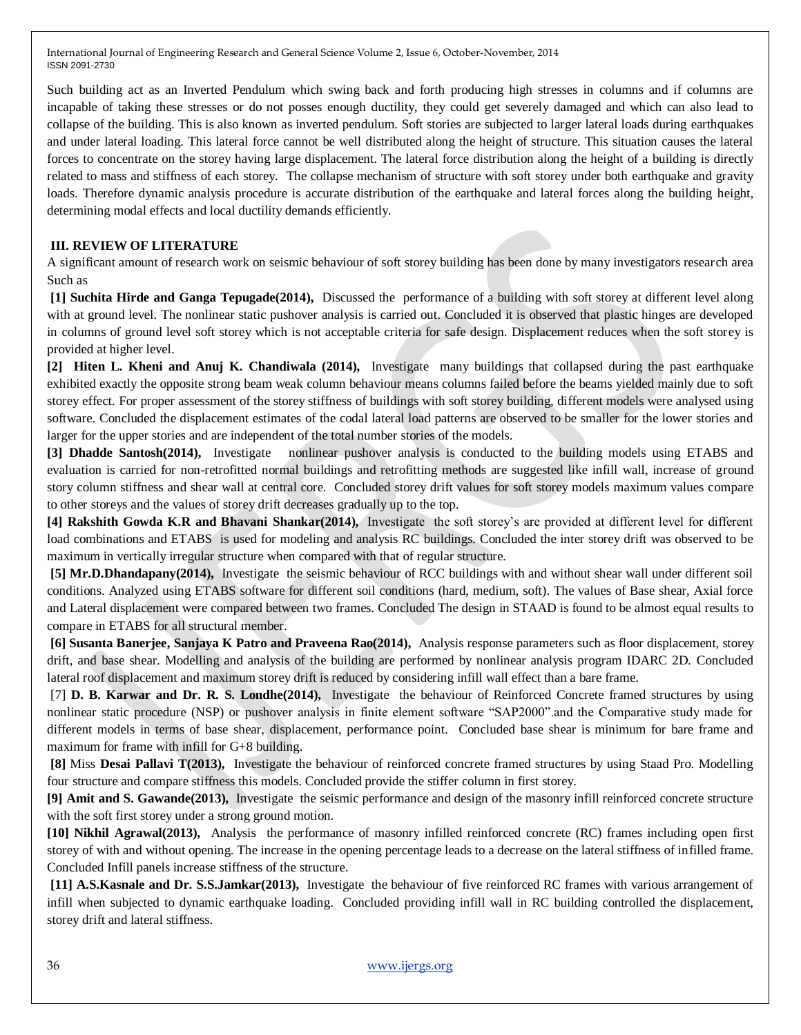Such building act as an Inverted Pendulum which swing back and forth producing high stresses in columns and if columns are incapable of taking these stresses or do not posses enough ductility, they could get severely damaged and which can also lead to collapse of the building. This is also known as inverted pendulum. Soft stories are subjected to larger lateral loads during earthquakes and under lateral loading. This lateral force cannot be well distributed along the height of structure. This situation causes the lateral forces to concentrate on the storey having large displacement. The lateral force distribution along the height of a building is directly related to mass and stiffness of each storey. The collapse mechanism of structure with soft storey under both earthquake and gravity loads. Therefore dynamic analysis procedure is accurate distribution of the earthquake and lateral forces along the building height, determining modal effects and local ductility demands efficiently.

# **III. REVIEW OF LITERATURE**

A significant amount of research work on seismic behaviour of soft storey building has been done by many investigators research area Such as

**[1] Suchita Hirde and Ganga Tepugade(2014),** Discussed the performance of a building with soft storey at different level along with at ground level. The nonlinear static pushover analysis is carried out*.* Concluded it is observed that plastic hinges are developed in columns of ground level soft storey which is not acceptable criteria for safe design. Displacement reduces when the soft storey is provided at higher level.

**[2] Hiten L. Kheni and Anuj K. Chandiwala (2014),** Investigate many buildings that collapsed during the past earthquake exhibited exactly the opposite strong beam weak column behaviour means columns failed before the beams yielded mainly due to soft storey effect. For proper assessment of the storey stiffness of buildings with soft storey building, different models were analysed using software. Concluded the displacement estimates of the codal lateral load patterns are observed to be smaller for the lower stories and larger for the upper stories and are independent of the total number stories of the models.

**[3] Dhadde Santosh(2014),** Investigate nonlinear pushover analysis is conducted to the building models using ETABS and evaluation is carried for non-retrofitted normal buildings and retrofitting methods are suggested like infill wall, increase of ground story column stiffness and shear wall at central core. Concluded storey drift values for soft storey models maximum values compare to other storeys and the values of storey drift decreases gradually up to the top.

**[4] Rakshith Gowda K.R and Bhavani Shankar(2014),** Investigate the soft storey"s are provided at different level for different load combinations and ETABS is used for modeling and analysis RC buildings. Concluded the inter storey drift was observed to be maximum in vertically irregular structure when compared with that of regular structure.

**[5] Mr.D.Dhandapany(2014),** Investigate the seismic behaviour of RCC buildings with and without shear wall under different soil conditions. Analyzed using ETABS software for different soil conditions (hard, medium, soft). The values of Base shear, Axial force and Lateral displacement were compared between two frames. Concluded The design in STAAD is found to be almost equal results to compare in ETABS for all structural member.

**[6] Susanta Banerjee, Sanjaya K Patro and Praveena Rao(2014),** Analysis response parameters such as floor displacement, storey drift, and base shear. Modelling and analysis of the building are performed by nonlinear analysis program IDARC 2D. Concluded lateral roof displacement and maximum storey drift is reduced by considering infill wall effect than a bare frame.

[7] **D. B. Karwar and Dr. R. S. Londhe(2014),** Investigate the behaviour of Reinforced Concrete framed structures by using nonlinear static procedure (NSP) or pushover analysis in finite element software "SAP2000".and the Comparative study made for different models in terms of base shear, displacement, performance point. Concluded base shear is minimum for bare frame and maximum for frame with infill for G+8 building.

**[8]** Miss **Desai Pallavi T(2013),** Investigate the behaviour of reinforced concrete framed structures by using Staad Pro. Modelling four structure and compare stiffness this models. Concluded provide the stiffer column in first storey.

**[9] Amit and S. Gawande(2013),** Investigate the seismic performance and design of the masonry infill reinforced concrete structure with the soft first storey under a strong ground motion.

**[10] Nikhil Agrawal(2013),** Analysis the performance of masonry infilled reinforced concrete (RC) frames including open first storey of with and without opening. The increase in the opening percentage leads to a decrease on the lateral stiffness of infilled frame. Concluded Infill panels increase stiffness of the structure.

**[11] A.S.Kasnale and Dr. S.S.Jamkar(2013),** Investigate the behaviour of five reinforced RC frames with various arrangement of infill when subjected to dynamic earthquake loading. Concluded providing infill wall in RC building controlled the displacement, storey drift and lateral stiffness.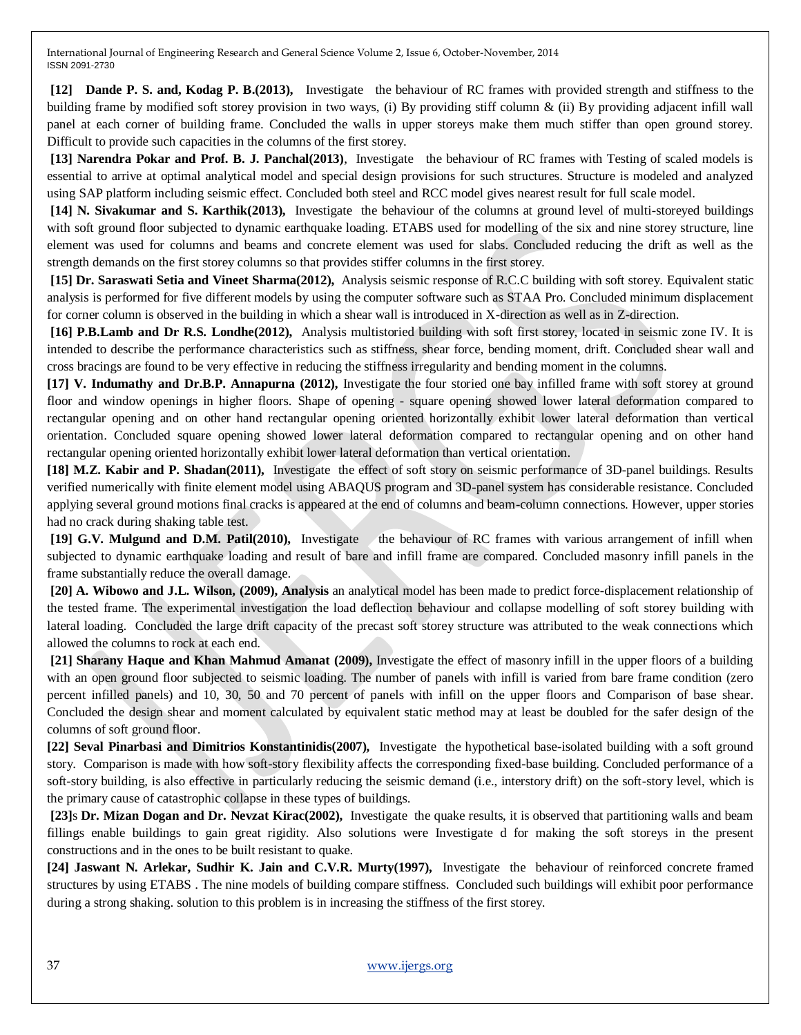**[12] Dande P. S. and, Kodag P. B.(2013),** Investigate the behaviour of RC frames with provided strength and stiffness to the building frame by modified soft storey provision in two ways, (i) By providing stiff column & (ii) By providing adjacent infill wall panel at each corner of building frame. Concluded the walls in upper storeys make them much stiffer than open ground storey. Difficult to provide such capacities in the columns of the first storey.

**[13] Narendra Pokar and Prof. B. J. Panchal(2013)**, Investigate the behaviour of RC frames with Testing of scaled models is essential to arrive at optimal analytical model and special design provisions for such structures. Structure is modeled and analyzed using SAP platform including seismic effect. Concluded both steel and RCC model gives nearest result for full scale model.

**[14] N. Sivakumar and S. Karthik(2013),** Investigate the behaviour of the columns at ground level of multi-storeyed buildings with soft ground floor subjected to dynamic earthquake loading. ETABS used for modelling of the six and nine storey structure, line element was used for columns and beams and concrete element was used for slabs. Concluded reducing the drift as well as the strength demands on the first storey columns so that provides stiffer columns in the first storey.

**[15] Dr. Saraswati Setia and Vineet Sharma(2012),** Analysis seismic response of R.C.C building with soft storey. Equivalent static analysis is performed for five different models by using the computer software such as STAA Pro. Concluded minimum displacement for corner column is observed in the building in which a shear wall is introduced in X-direction as well as in Z-direction.

**[16] P.B.Lamb and Dr R.S. Londhe(2012),** Analysis multistoried building with soft first storey, located in seismic zone IV. It is intended to describe the performance characteristics such as stiffness, shear force, bending moment, drift. Concluded shear wall and cross bracings are found to be very effective in reducing the stiffness irregularity and bending moment in the columns.

**[17] V. Indumathy and Dr.B.P. Annapurna (2012),** Investigate the four storied one bay infilled frame with soft storey at ground floor and window openings in higher floors. Shape of opening - square opening showed lower lateral deformation compared to rectangular opening and on other hand rectangular opening oriented horizontally exhibit lower lateral deformation than vertical orientation. Concluded square opening showed lower lateral deformation compared to rectangular opening and on other hand rectangular opening oriented horizontally exhibit lower lateral deformation than vertical orientation.

**[18] M.Z. Kabir and P. Shadan(2011),** Investigate the effect of soft story on seismic performance of 3D-panel buildings. Results verified numerically with finite element model using ABAQUS program and 3D-panel system has considerable resistance. Concluded applying several ground motions final cracks is appeared at the end of columns and beam-column connections. However, upper stories had no crack during shaking table test.

**[19] G.V. Mulgund and D.M. Patil(2010),** Investigate the behaviour of RC frames with various arrangement of infill when subjected to dynamic earthquake loading and result of bare and infill frame are compared. Concluded masonry infill panels in the frame substantially reduce the overall damage.

**[20] A. Wibowo and J.L. Wilson, (2009), Analysis** an analytical model has been made to predict force-displacement relationship of the tested frame. The experimental investigation the load deflection behaviour and collapse modelling of soft storey building with lateral loading. Concluded the large drift capacity of the precast soft storey structure was attributed to the weak connections which allowed the columns to rock at each end.

**[21] Sharany Haque and Khan Mahmud Amanat (2009),** Investigate the effect of masonry infill in the upper floors of a building with an open ground floor subjected to seismic loading. The number of panels with infill is varied from bare frame condition (zero percent infilled panels) and 10, 30, 50 and 70 percent of panels with infill on the upper floors and Comparison of base shear. Concluded the design shear and moment calculated by equivalent static method may at least be doubled for the safer design of the columns of soft ground floor.

**[22] Seval Pinarbasi and Dimitrios Konstantinidis(2007),** Investigate the hypothetical base-isolated building with a soft ground story. Comparison is made with how soft-story flexibility affects the corresponding fixed-base building. Concluded performance of a soft-story building, is also effective in particularly reducing the seismic demand (i.e., interstory drift) on the soft-story level, which is the primary cause of catastrophic collapse in these types of buildings.

**[23]**s **Dr. Mizan Dogan and Dr. Nevzat Kirac(2002),** Investigate the quake results, it is observed that partitioning walls and beam fillings enable buildings to gain great rigidity. Also solutions were Investigate d for making the soft storeys in the present constructions and in the ones to be built resistant to quake.

**[24] Jaswant N. Arlekar, Sudhir K. Jain and C.V.R. Murty(1997),** Investigate the behaviour of reinforced concrete framed structures by using ETABS . The nine models of building compare stiffness. Concluded such buildings will exhibit poor performance during a strong shaking. solution to this problem is in increasing the stiffness of the first storey.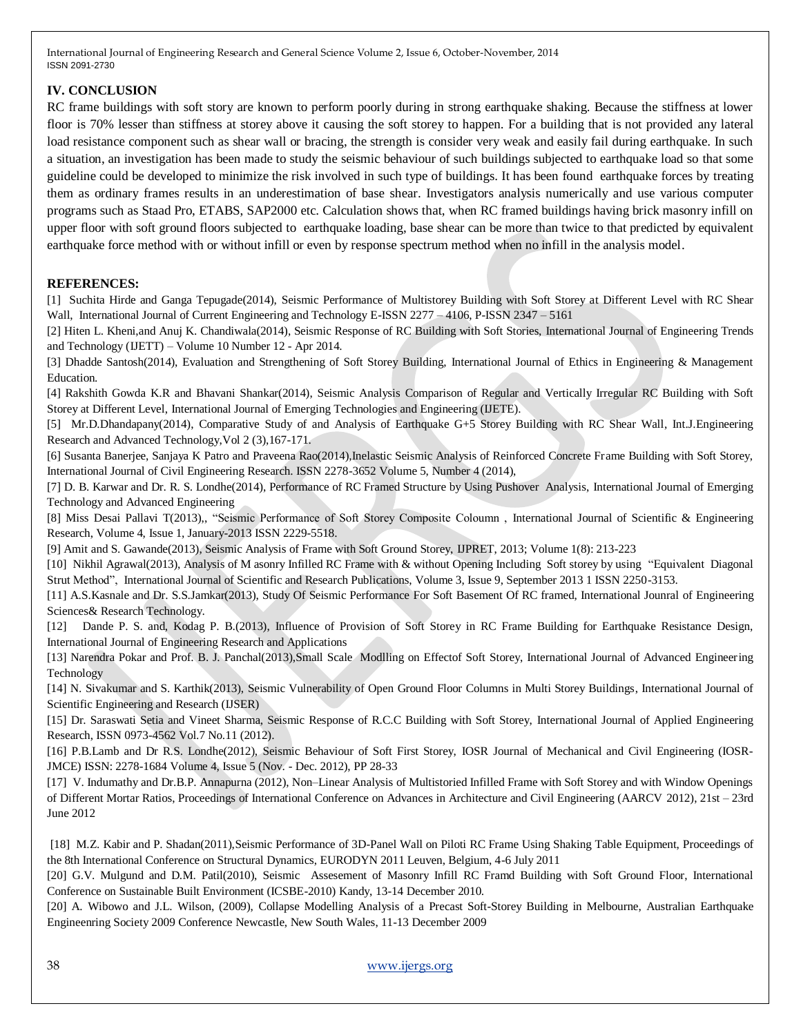# **IV. CONCLUSION**

RC frame buildings with soft story are known to perform poorly during in strong earthquake shaking. Because the stiffness at lower floor is 70% lesser than stiffness at storey above it causing the soft storey to happen. For a building that is not provided any lateral load resistance component such as shear wall or bracing, the strength is consider very weak and easily fail during earthquake. In such a situation, an investigation has been made to study the seismic behaviour of such buildings subjected to earthquake load so that some guideline could be developed to minimize the risk involved in such type of buildings. It has been found earthquake forces by treating them as ordinary frames results in an underestimation of base shear. Investigators analysis numerically and use various computer programs such as Staad Pro, ETABS, SAP2000 etc. Calculation shows that, when RC framed buildings having brick masonry infill on upper floor with soft ground floors subjected to earthquake loading, base shear can be more than twice to that predicted by equivalent earthquake force method with or without infill or even by response spectrum method when no infill in the analysis model.

# **REFERENCES:**

[1] Suchita Hirde and Ganga Tepugade(2014), Seismic Performance of Multistorey Building with Soft Storey at Different Level with RC Shear Wall, International Journal of Current Engineering and Technology E-ISSN 2277 – 4106, P-ISSN 2347 – 5161

[2] Hiten L. Kheni,and Anuj K. Chandiwala(2014), Seismic Response of RC Building with Soft Stories, International Journal of Engineering Trends and Technology (IJETT) – Volume 10 Number 12 - Apr 2014.

[3] Dhadde Santosh(2014), Evaluation and Strengthening of Soft Storey Building, International Journal of Ethics in Engineering & Management Education.

[4] Rakshith Gowda K.R and Bhavani Shankar(2014), Seismic Analysis Comparison of Regular and Vertically Irregular RC Building with Soft Storey at Different Level, International Journal of Emerging Technologies and Engineering (IJETE).

[5] Mr.D.Dhandapany(2014), Comparative Study of and Analysis of Earthquake G+5 Storey Building with RC Shear Wall, Int.J.Engineering Research and Advanced Technology,Vol 2 (3),167-171.

[6] Susanta Banerjee, Sanjaya K Patro and Praveena Rao(2014),Inelastic Seismic Analysis of Reinforced Concrete Frame Building with Soft Storey, International Journal of Civil Engineering Research. ISSN 2278-3652 Volume 5, Number 4 (2014),

[7] D. B. Karwar and Dr. R. S. Londhe(2014), Performance of RC Framed Structure by Using Pushover Analysis, International Journal of Emerging Technology and Advanced Engineering

[8] Miss Desai Pallavi T(2013),, "Seismic Performance of Soft Storey Composite Coloumn , International Journal of Scientific & Engineering Research, Volume 4, Issue 1, January-2013 ISSN 2229-5518.

[9] Amit and S. Gawande(2013), Seismic Analysis of Frame with Soft Ground Storey, IJPRET, 2013; Volume 1(8): 213-223

[10] Nikhil Agrawal(2013), Analysis of M asonry Infilled RC Frame with & without Opening Including Soft storey by using "Equivalent Diagonal Strut Method", International Journal of Scientific and Research Publications, Volume 3, Issue 9, September 2013 1 ISSN 2250-3153.

[11] A.S.Kasnale and Dr. S.S.Jamkar(2013), Study Of Seismic Performance For Soft Basement Of RC framed, International Jounral of Engineering Sciences& Research Technology.

[12] Dande P. S. and, Kodag P. B.(2013), Influence of Provision of Soft Storey in RC Frame Building for Earthquake Resistance Design, International Journal of Engineering Research and Applications

[13] Narendra Pokar and Prof. B. J. Panchal(2013),Small Scale Modlling on Effectof Soft Storey, International Journal of Advanced Engineering Technology

[14] N. Sivakumar and S. Karthik(2013), Seismic Vulnerability of Open Ground Floor Columns in Multi Storey Buildings, International Journal of Scientific Engineering and Research (IJSER)

[15] Dr. Saraswati Setia and Vineet Sharma, Seismic Response of R.C.C Building with Soft Storey, International Journal of Applied Engineering Research, ISSN 0973-4562 Vol.7 No.11 (2012).

[16] P.B.Lamb and Dr R.S. Londhe(2012), Seismic Behaviour of Soft First Storey, IOSR Journal of Mechanical and Civil Engineering (IOSR-JMCE) ISSN: 2278-1684 Volume 4, Issue 5 (Nov. - Dec. 2012), PP 28-33

[17] V. Indumathy and Dr.B.P. Annapurna (2012), Non–Linear Analysis of Multistoried Infilled Frame with Soft Storey and with Window Openings of Different Mortar Ratios, Proceedings of International Conference on Advances in Architecture and Civil Engineering (AARCV 2012), 21st – 23rd June 2012

[18] M.Z. Kabir and P. Shadan(2011),Seismic Performance of 3D-Panel Wall on Piloti RC Frame Using Shaking Table Equipment, Proceedings of the 8th International Conference on Structural Dynamics, EURODYN 2011 Leuven, Belgium, 4-6 July 2011

[20] G.V. Mulgund and D.M. Patil(2010), Seismic Assesement of Masonry Infill RC Framd Building with Soft Ground Floor, International Conference on Sustainable Built Environment (ICSBE-2010) Kandy, 13-14 December 2010.

[20] A. Wibowo and J.L. Wilson, (2009), Collapse Modelling Analysis of a Precast Soft-Storey Building in Melbourne, Australian Earthquake Engineenring Society 2009 Conference Newcastle, New South Wales, 11-13 December 2009